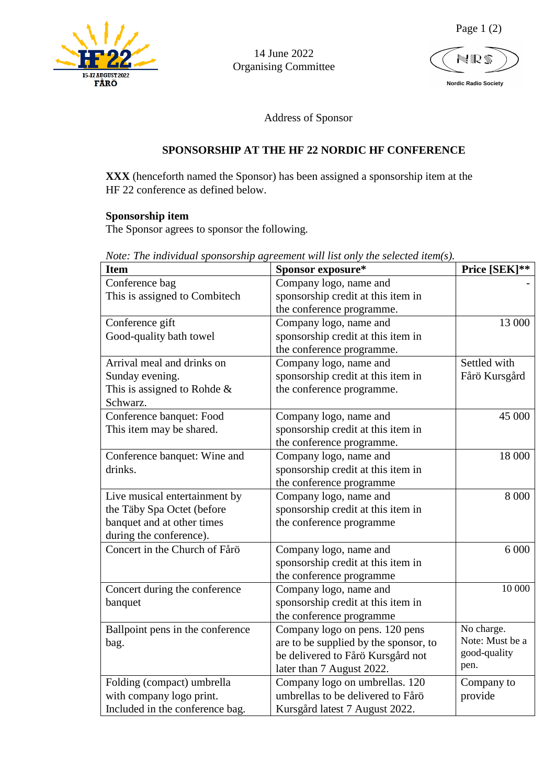

14 June 2022 Organising Committee

NR!

Page 1 (2)

 **Nordic Radio Society**

Address of Sponsor

# **SPONSORSHIP AT THE HF 22 NORDIC HF CONFERENCE**

**XXX** (henceforth named the Sponsor) has been assigned a sponsorship item at the HF 22 conference as defined below.

### **Sponsorship item**

The Sponsor agrees to sponsor the following.

| <b>Item</b>                      | Sponsor exposure*                     | Price [SEK]**   |
|----------------------------------|---------------------------------------|-----------------|
| Conference bag                   | Company logo, name and                |                 |
| This is assigned to Combitech    | sponsorship credit at this item in    |                 |
|                                  | the conference programme.             |                 |
| Conference gift                  | Company logo, name and                | 13 000          |
| Good-quality bath towel          | sponsorship credit at this item in    |                 |
|                                  | the conference programme.             |                 |
| Arrival meal and drinks on       | Company logo, name and                | Settled with    |
| Sunday evening.                  | sponsorship credit at this item in    | Fårö Kursgård   |
| This is assigned to Rohde $\&$   | the conference programme.             |                 |
| Schwarz.                         |                                       |                 |
| Conference banquet: Food         | Company logo, name and                | 45 000          |
| This item may be shared.         | sponsorship credit at this item in    |                 |
|                                  | the conference programme.             |                 |
| Conference banquet: Wine and     | Company logo, name and                | 18 000          |
| drinks.                          | sponsorship credit at this item in    |                 |
|                                  | the conference programme              |                 |
| Live musical entertainment by    | Company logo, name and                | 8 0 0 0         |
| the Täby Spa Octet (before       | sponsorship credit at this item in    |                 |
| banquet and at other times       | the conference programme              |                 |
| during the conference).          |                                       |                 |
| Concert in the Church of Fårö    | Company logo, name and                | 6 0 0 0         |
|                                  | sponsorship credit at this item in    |                 |
|                                  | the conference programme              |                 |
| Concert during the conference    | Company logo, name and                | 10 000          |
| banquet                          | sponsorship credit at this item in    |                 |
|                                  | the conference programme              |                 |
| Ballpoint pens in the conference | Company logo on pens. 120 pens        | No charge.      |
| bag.                             | are to be supplied by the sponsor, to | Note: Must be a |
|                                  | be delivered to Fårö Kursgård not     | good-quality    |
|                                  | later than 7 August 2022.             | pen.            |
| Folding (compact) umbrella       | Company logo on umbrellas. 120        | Company to      |
| with company logo print.         | umbrellas to be delivered to Fårö     | provide         |
| Included in the conference bag.  | Kursgård latest 7 August 2022.        |                 |

*Note: The individual sponsorship agreement will list only the selected item(s).*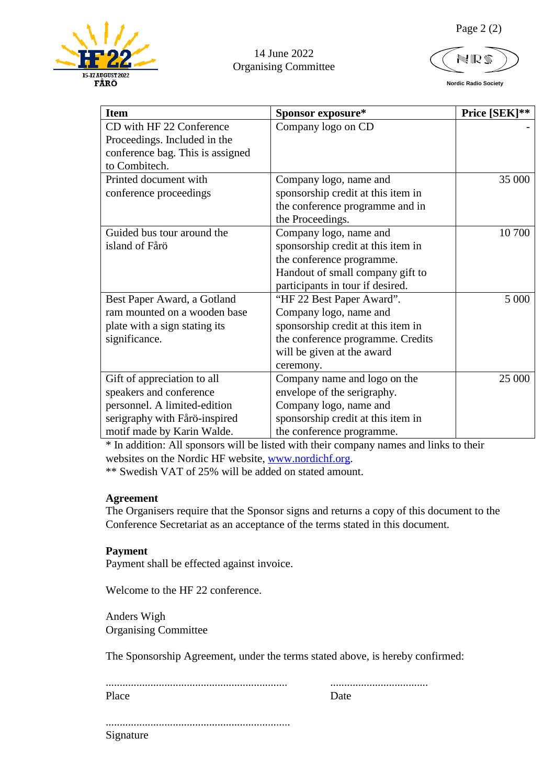

## 14 June 2022 Organising Committee

N ID

 **Nordic Radio Society**

| <b>Item</b>                      | Sponsor exposure*                  | Price [SEK]** |
|----------------------------------|------------------------------------|---------------|
| CD with HF 22 Conference         | Company logo on CD                 |               |
| Proceedings. Included in the     |                                    |               |
| conference bag. This is assigned |                                    |               |
| to Combitech.                    |                                    |               |
| Printed document with            | Company logo, name and             | 35 000        |
| conference proceedings           | sponsorship credit at this item in |               |
|                                  | the conference programme and in    |               |
|                                  | the Proceedings.                   |               |
| Guided bus tour around the       | Company logo, name and             | 10 700        |
| island of Fårö                   | sponsorship credit at this item in |               |
|                                  | the conference programme.          |               |
|                                  | Handout of small company gift to   |               |
|                                  | participants in tour if desired.   |               |
| Best Paper Award, a Gotland      | "HF 22 Best Paper Award".          | 5 000         |
| ram mounted on a wooden base     | Company logo, name and             |               |
| plate with a sign stating its    | sponsorship credit at this item in |               |
| significance.                    | the conference programme. Credits  |               |
|                                  | will be given at the award         |               |
|                                  | ceremony.                          |               |
| Gift of appreciation to all      | Company name and logo on the       | 25 000        |
| speakers and conference          | envelope of the serigraphy.        |               |
| personnel. A limited-edition     | Company logo, name and             |               |
| serigraphy with Fårö-inspired    | sponsorship credit at this item in |               |
| motif made by Karin Walde.       | the conference programme.          |               |

\* In addition: All sponsors will be listed with their company names and links to their websites on the Nordic HF website, [www.nordichf.org.](http://www.nordichf.org/)

\*\* Swedish VAT of 25% will be added on stated amount.

### **Agreement**

The Organisers require that the Sponsor signs and returns a copy of this document to the Conference Secretariat as an acceptance of the terms stated in this document.

### **Payment**

Payment shall be effected against invoice.

Welcome to the HF 22 conference.

Anders Wigh Organising Committee

The Sponsorship Agreement, under the terms stated above, is hereby confirmed:

| Place |  |
|-------|--|
|       |  |

.................................................................. Signature